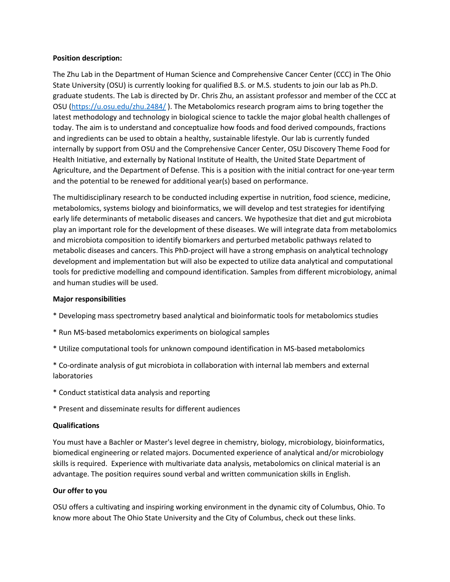### **Position description:**

The Zhu Lab in the Department of Human Science and Comprehensive Cancer Center (CCC) in The Ohio State University (OSU) is currently looking for qualified B.S. or M.S. students to join our lab as Ph.D. graduate students. The Lab is directed by Dr. Chris Zhu, an assistant professor and member of the CCC at OSU [\(https://u.osu.edu/zhu.2484/](https://u.osu.edu/zhu.2484/) ). The Metabolomics research program aims to bring together the latest methodology and technology in biological science to tackle the major global health challenges of today. The aim is to understand and conceptualize how foods and food derived compounds, fractions and ingredients can be used to obtain a healthy, sustainable lifestyle. Our lab is currently funded internally by support from OSU and the Comprehensive Cancer Center, OSU Discovery Theme Food for Health Initiative, and externally by National Institute of Health, the United State Department of Agriculture, and the Department of Defense. This is a position with the initial contract for one-year term and the potential to be renewed for additional year(s) based on performance.

The multidisciplinary research to be conducted including expertise in nutrition, food science, medicine, metabolomics, systems biology and bioinformatics, we will develop and test strategies for identifying early life determinants of metabolic diseases and cancers. We hypothesize that diet and gut microbiota play an important role for the development of these diseases. We will integrate data from metabolomics and microbiota composition to identify biomarkers and perturbed metabolic pathways related to metabolic diseases and cancers. This PhD-project will have a strong emphasis on analytical technology development and implementation but will also be expected to utilize data analytical and computational tools for predictive modelling and compound identification. Samples from different microbiology, animal and human studies will be used.

## **Major responsibilities**

- \* Developing mass spectrometry based analytical and bioinformatic tools for metabolomics studies
- \* Run MS-based metabolomics experiments on biological samples
- \* Utilize computational tools for unknown compound identification in MS-based metabolomics

\* Co-ordinate analysis of gut microbiota in collaboration with internal lab members and external laboratories

- \* Conduct statistical data analysis and reporting
- \* Present and disseminate results for different audiences

#### **Qualifications**

You must have a Bachler or Master's level degree in chemistry, biology, microbiology, bioinformatics, biomedical engineering or related majors. Documented experience of analytical and/or microbiology skills is required. Experience with multivariate data analysis, metabolomics on clinical material is an advantage. The position requires sound verbal and written communication skills in English.

#### **Our offer to you**

OSU offers a cultivating and inspiring working environment in the dynamic city of Columbus, Ohio. To know more about The Ohio State University and the City of Columbus, check out these links.